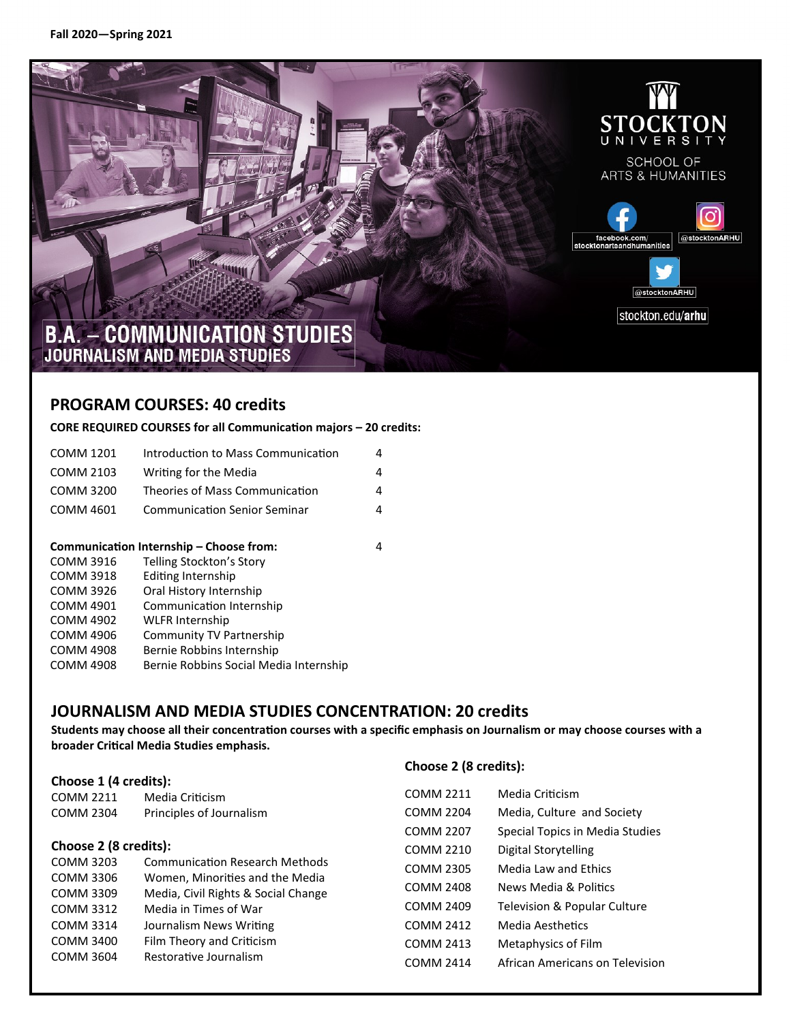

### **PROGRAM COURSES: 40 credits**

#### **CORE REQUIRED COURSES for all Communication majors – 20 credits:**

| Communication Internship - Choose from:<br>$0.011110040$ $\pm 111$ $0.11100$ |                                     |   |
|------------------------------------------------------------------------------|-------------------------------------|---|
| <b>COMM 4601</b>                                                             | <b>Communication Senior Seminar</b> | 4 |
| <b>COMM 3200</b>                                                             | Theories of Mass Communication      | 4 |
| <b>COMM 2103</b>                                                             | Writing for the Media               | 4 |
| COMM 1201                                                                    | Introduction to Mass Communication  | 4 |

| <b>COMM 3916</b> | Telling Stockton's Story               |
|------------------|----------------------------------------|
| <b>COMM 3918</b> | <b>Editing Internship</b>              |
| <b>COMM 3926</b> | Oral History Internship                |
| <b>COMM 4901</b> | Communication Internship               |
| <b>COMM 4902</b> | <b>WLFR Internship</b>                 |
| <b>COMM 4906</b> | Community TV Partnership               |
| <b>COMM 4908</b> | Bernie Robbins Internship              |
| <b>COMM 4908</b> | Bernie Robbins Social Media Internship |

### **JOURNALISM AND MEDIA STUDIES CONCENTRATION: 20 credits**

**Students may choose all their concentration courses with a specific emphasis on Journalism or may choose courses with a broader Critical Media Studies emphasis.** 

|                                     |                                       | Choose 2 (8 credits): |                                 |  |  |
|-------------------------------------|---------------------------------------|-----------------------|---------------------------------|--|--|
| Choose 1 (4 credits):               |                                       |                       |                                 |  |  |
| <b>COMM 2211</b>                    | Media Criticism                       | <b>COMM 2211</b>      | Media Criticism                 |  |  |
| <b>COMM 2304</b>                    | Principles of Journalism              | <b>COMM 2204</b>      | Media, Culture and Society      |  |  |
|                                     |                                       | <b>COMM 2207</b>      | Special Topics in Media Studies |  |  |
| Choose 2 (8 credits):               |                                       | <b>COMM 2210</b>      | Digital Storytelling            |  |  |
| <b>COMM 3203</b>                    | <b>Communication Research Methods</b> | <b>COMM 2305</b>      | Media Law and Ethics            |  |  |
| <b>COMM 3306</b>                    | Women, Minorities and the Media       | <b>COMM 2408</b>      | News Media & Politics           |  |  |
| COMM 3309                           | Media, Civil Rights & Social Change   |                       |                                 |  |  |
| <b>COMM 3312</b>                    | Media in Times of War                 | <b>COMM 2409</b>      | Television & Popular Culture    |  |  |
| COMM 3314                           | Journalism News Writing               | <b>COMM 2412</b>      | Media Aesthetics                |  |  |
| COMM 3400                           | Film Theory and Criticism             | <b>COMM 2413</b>      | Metaphysics of Film             |  |  |
| Restorative Journalism<br>COMM 3604 |                                       | <b>COMM 2414</b>      | African Americans on Television |  |  |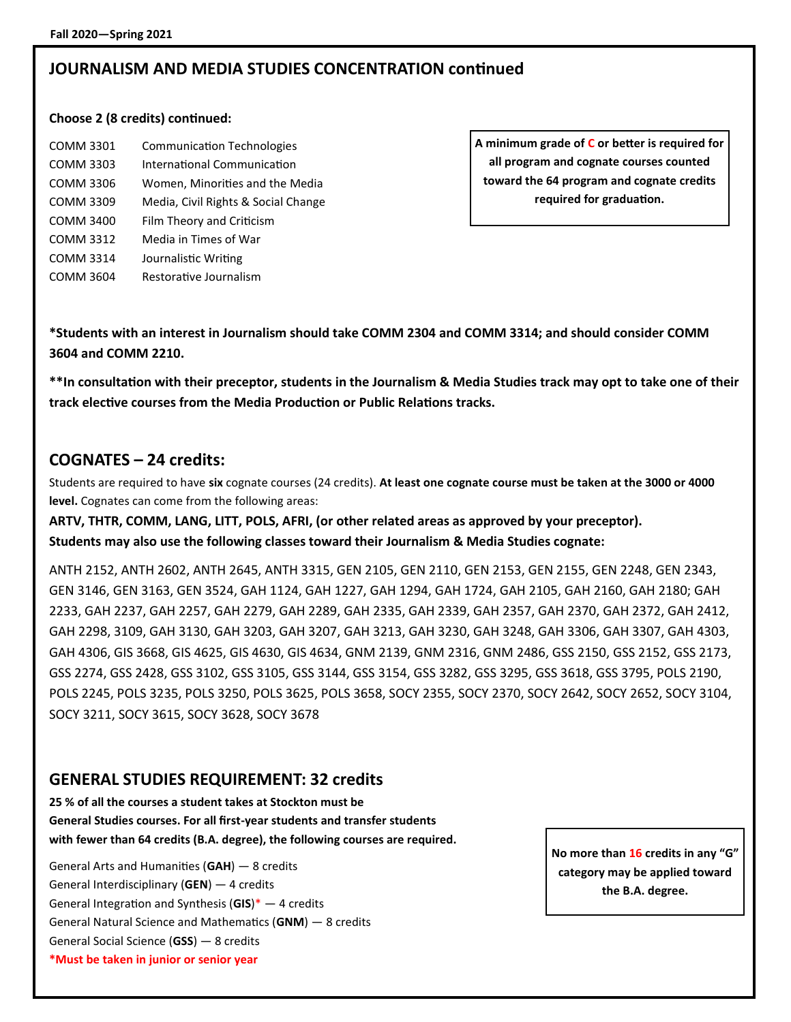### **JOURNALISM AND MEDIA STUDIES CONCENTRATION continued**

#### **Choose 2 (8 credits) continued:**

| <b>COMM 3301</b> | <b>Communication Technologies</b>   |
|------------------|-------------------------------------|
| COMM 3303        | International Communication         |
| COMM 3306        | Women, Minorities and the Media     |
| <b>COMM 3309</b> | Media, Civil Rights & Social Change |
| <b>COMM 3400</b> | Film Theory and Criticism           |
| COMM 3312        | Media in Times of War               |
| COMM 3314        | Journalistic Writing                |
| COMM 3604        | Restorative Journalism              |
|                  |                                     |

**A minimum grade of C or better is required for all program and cognate courses counted toward the 64 program and cognate credits required for graduation.**

**\*Students with an interest in Journalism should take COMM 2304 and COMM 3314; and should consider COMM 3604 and COMM 2210.**

**\*\*In consultation with their preceptor, students in the Journalism & Media Studies track may opt to take one of their track elective courses from the Media Production or Public Relations tracks.**

#### **COGNATES – 24 credits:**

Students are required to have **six** cognate courses (24 credits). **At least one cognate course must be taken at the 3000 or 4000 level.** Cognates can come from the following areas:

**ARTV, THTR, COMM, LANG, LITT, POLS, AFRI, (or other related areas as approved by your preceptor). Students may also use the following classes toward their Journalism & Media Studies cognate:**

ANTH 2152, ANTH 2602, ANTH 2645, ANTH 3315, GEN 2105, GEN 2110, GEN 2153, GEN 2155, GEN 2248, GEN 2343, GEN 3146, GEN 3163, GEN 3524, GAH 1124, GAH 1227, GAH 1294, GAH 1724, GAH 2105, GAH 2160, GAH 2180; GAH 2233, GAH 2237, GAH 2257, GAH 2279, GAH 2289, GAH 2335, GAH 2339, GAH 2357, GAH 2370, GAH 2372, GAH 2412, GAH 2298, 3109, GAH 3130, GAH 3203, GAH 3207, GAH 3213, GAH 3230, GAH 3248, GAH 3306, GAH 3307, GAH 4303, GAH 4306, GIS 3668, GIS 4625, GIS 4630, GIS 4634, GNM 2139, GNM 2316, GNM 2486, GSS 2150, GSS 2152, GSS 2173, GSS 2274, GSS 2428, GSS 3102, GSS 3105, GSS 3144, GSS 3154, GSS 3282, GSS 3295, GSS 3618, GSS 3795, POLS 2190, POLS 2245, POLS 3235, POLS 3250, POLS 3625, POLS 3658, SOCY 2355, SOCY 2370, SOCY 2642, SOCY 2652, SOCY 3104, SOCY 3211, SOCY 3615, SOCY 3628, SOCY 3678

#### **GENERAL STUDIES REQUIREMENT: 32 credits**

**25 % of all the courses a student takes at Stockton must be General Studies courses. For all first-year students and transfer students with fewer than 64 credits (B.A. degree), the following courses are required.**

General Arts and Humanities (**GAH**) — 8 credits General Interdisciplinary (**GEN**) — 4 credits General Integration and Synthesis (**GIS**)\* — 4 credits General Natural Science and Mathematics (**GNM**) — 8 credits General Social Science (**GSS**) — 8 credits **\*Must be taken in junior or senior year**

**No more than 16 credits in any "G" category may be applied toward the B.A. degree.**